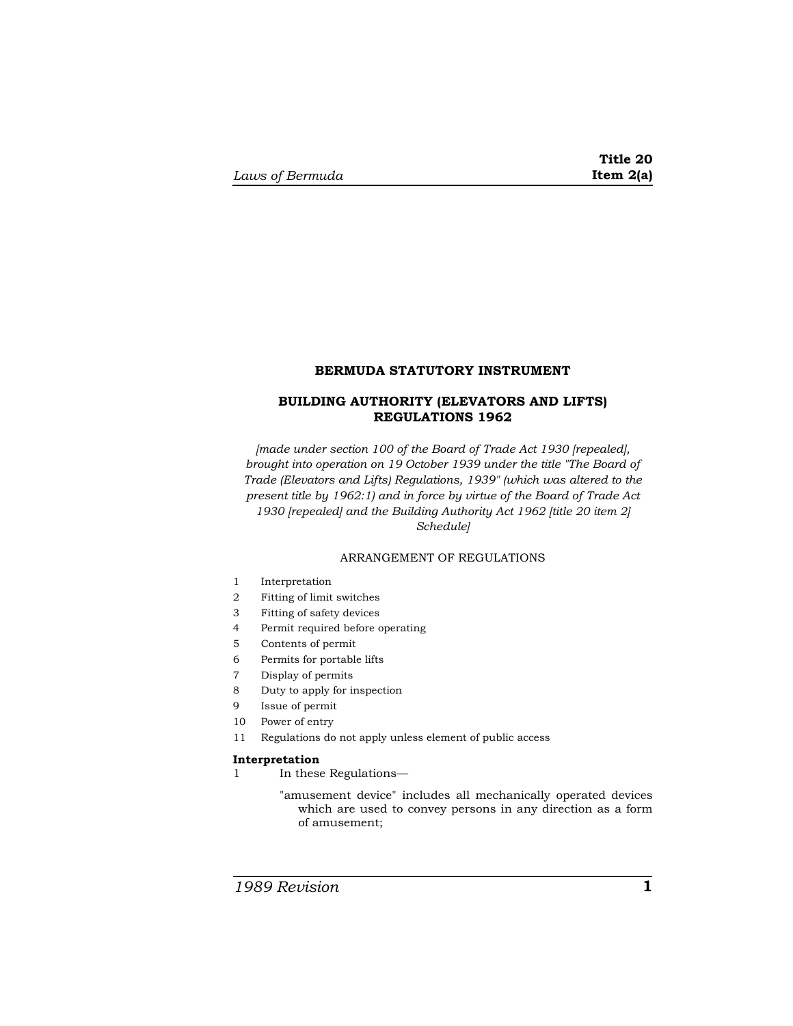### **BERMUDA STATUTORY INSTRUMENT**

# **BUILDING AUTHORITY (ELEVATORS AND LIFTS) REGULATIONS 1962**

*[made under section 100 of the Board of Trade Act 1930 [repealed], brought into operation on 19 October 1939 under the title "The Board of Trade (Elevators and Lifts) Regulations, 1939" (which was altered to the present title by 1962:1) and in force by virtue of the Board of Trade Act 1930 [repealed] and the Building Authority Act 1962 [title 20 item 2] Schedule]* 

## ARRANGEMENT OF REGULATIONS

- 1 Interpretation
- 2 Fitting of limit switches
- 3 Fitting of safety devices
- 4 Permit required before operating
- 5 Contents of permit
- 6 Permits for portable lifts
- 7 Display of permits
- 8 Duty to apply for inspection
- 9 Issue of permit
- 10 Power of entry
- 11 Regulations do not apply unless element of public access

### **Interpretation**

- 1 In these Regulations—
	- "amusement device" includes all mechanically operated devices which are used to convey persons in any direction as a form of amusement;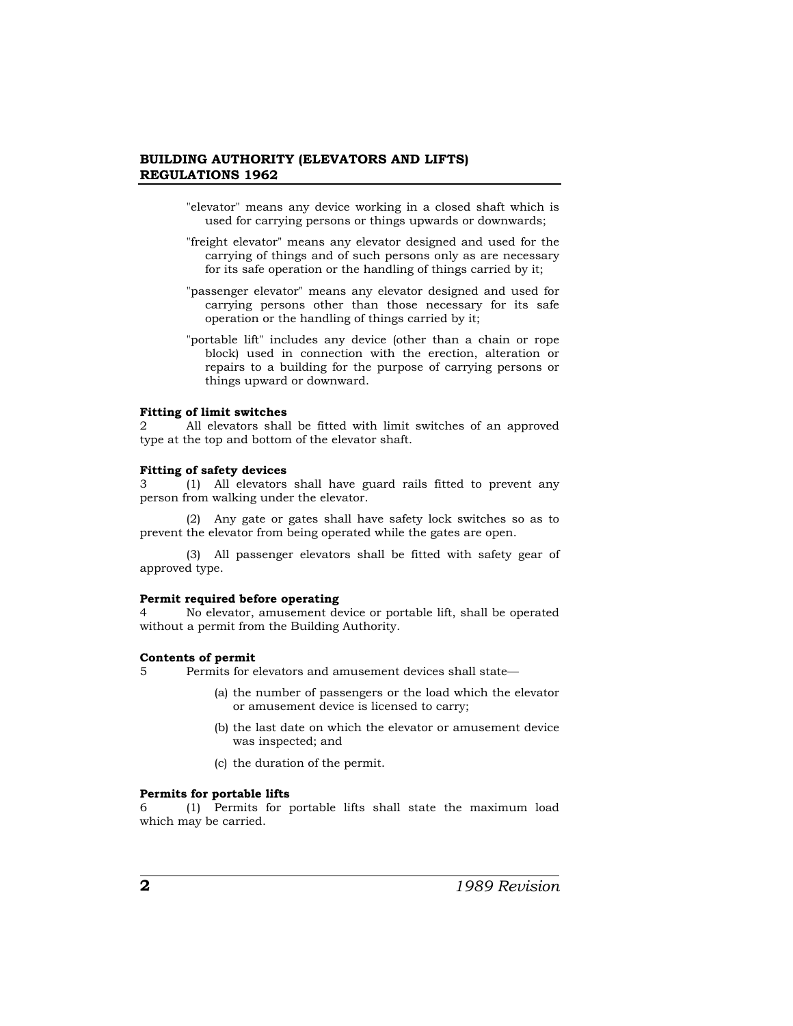### **BUILDING AUTHORITY (ELEVATORS AND LIFTS) REGULATIONS 1962**

- "elevator" means any device working in a closed shaft which is used for carrying persons or things upwards or downwards;
- "freight elevator" means any elevator designed and used for the carrying of things and of such persons only as are necessary for its safe operation or the handling of things carried by it;
- "passenger elevator" means any elevator designed and used for carrying persons other than those necessary for its safe operation or the handling of things carried by it;
- "portable lift" includes any device (other than a chain or rope block) used in connection with the erection, alteration or repairs to a building for the purpose of carrying persons or things upward or downward.

#### **Fitting of limit switches**

2 All elevators shall be fitted with limit switches of an approved type at the top and bottom of the elevator shaft.

# **Fitting of safety devices**

3 (1) All elevators shall have guard rails fitted to prevent any person from walking under the elevator.

(2) Any gate or gates shall have safety lock switches so as to prevent the elevator from being operated while the gates are open.

(3) All passenger elevators shall be fitted with safety gear of approved type.

#### **Permit required before operating**

4 No elevator, amusement device or portable lift, shall be operated without a permit from the Building Authority.

### **Contents of permit**

5 Permits for elevators and amusement devices shall state—

- (a) the number of passengers or the load which the elevator or amusement device is licensed to carry;
- (b) the last date on which the elevator or amusement device was inspected; and
- (c) the duration of the permit.

#### **Permits for portable lifts**

6 (1) Permits for portable lifts shall state the maximum load which may be carried.